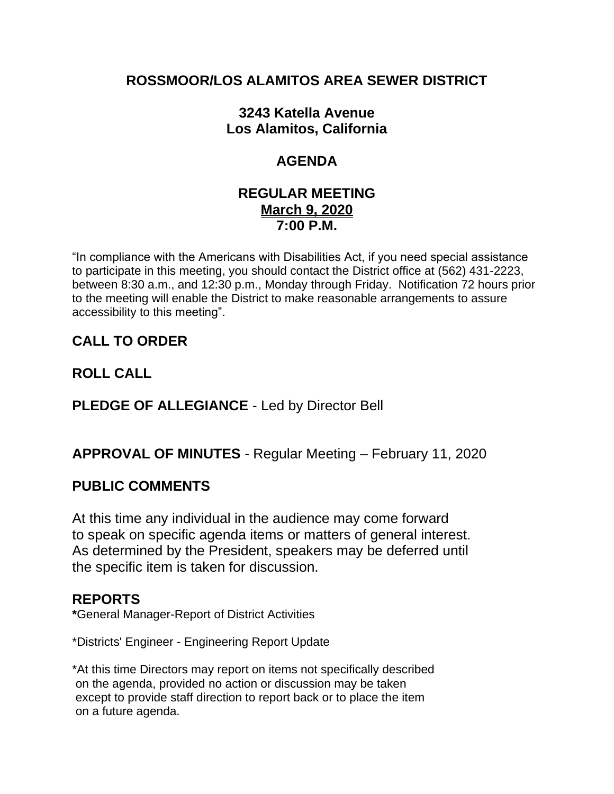### **ROSSMOOR/LOS ALAMITOS AREA SEWER DISTRICT**

### **3243 Katella Avenue Los Alamitos, California**

# **AGENDA**

#### **REGULAR MEETING March 9, 2020 7:00 P.M.**

"In compliance with the Americans with Disabilities Act, if you need special assistance to participate in this meeting, you should contact the District office at (562) 431-2223, between 8:30 a.m., and 12:30 p.m., Monday through Friday. Notification 72 hours prior to the meeting will enable the District to make reasonable arrangements to assure accessibility to this meeting".

# **CALL TO ORDER**

## **ROLL CALL**

### **PLEDGE OF ALLEGIANCE** - Led by Director Bell

### **APPROVAL OF MINUTES** - Regular Meeting – February 11, 2020

#### **PUBLIC COMMENTS**

At this time any individual in the audience may come forward to speak on specific agenda items or matters of general interest. As determined by the President, speakers may be deferred until the specific item is taken for discussion.

#### **REPORTS**

**\***General Manager-Report of District Activities

\*Districts' Engineer - Engineering Report Update

\*At this time Directors may report on items not specifically described on the agenda, provided no action or discussion may be taken except to provide staff direction to report back or to place the item on a future agenda.